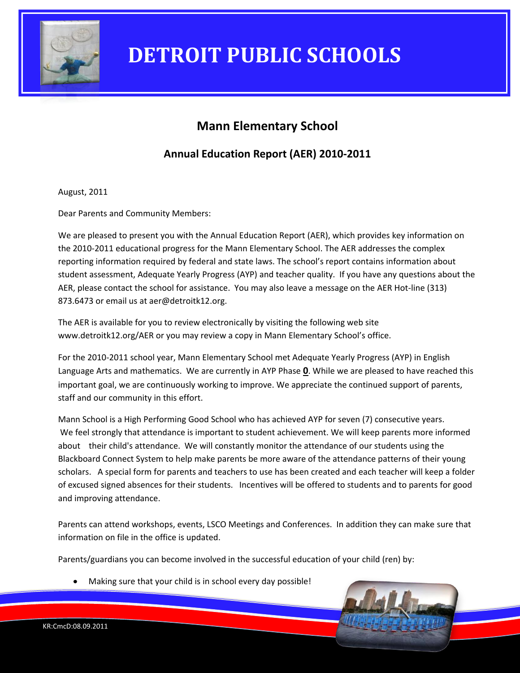

### **Mann Elementary School**

**Annual Education Report (AER) 2010-2011**

August, 2011

Dear Parents and Community Members:

We are pleased to present you with the Annual Education Report (AER), which provides key information on the 2010-2011 educational progress for the Mann Elementary School. The AER addresses the complex reporting information required by federal and state laws. The school's report contains information about student assessment, Adequate Yearly Progress (AYP) and teacher quality. If you have any questions about the AER, please contact the school for assistance. You may also leave a message on the AER Hot-line (313) 873.6473 or email us at aer@detroitk12.org.

The AER is available for you to review electronically by visiting the following web site www.detroitk12.org/AER or you may review a copy in Mann Elementary School's office.

For the 2010-2011 school year, Mann Elementary School met Adequate Yearly Progress (AYP) in English Language Arts and mathematics. We are currently in AYP Phase **0**. While we are pleased to have reached this important goal, we are continuously working to improve. We appreciate the continued support of parents, staff and our community in this effort.

Mann School is a High Performing Good School who has achieved AYP for seven (7) consecutive years. We feel strongly that attendance is important to student achievement. We will keep parents more informed about their child's attendance. We will constantly monitor the attendance of our students using the Blackboard Connect System to help make parents be more aware of the attendance patterns of their young scholars. A special form for parents and teachers to use has been created and each teacher will keep a folder of excused signed absences for their students. Incentives will be offered to students and to parents for good and improving attendance.

Parents can attend workshops, events, LSCO Meetings and Conferences. In addition they can make sure that information on file in the office is updated.

Parents/guardians you can become involved in the successful education of your child (ren) by:

Making sure that your child is in school every day possible!

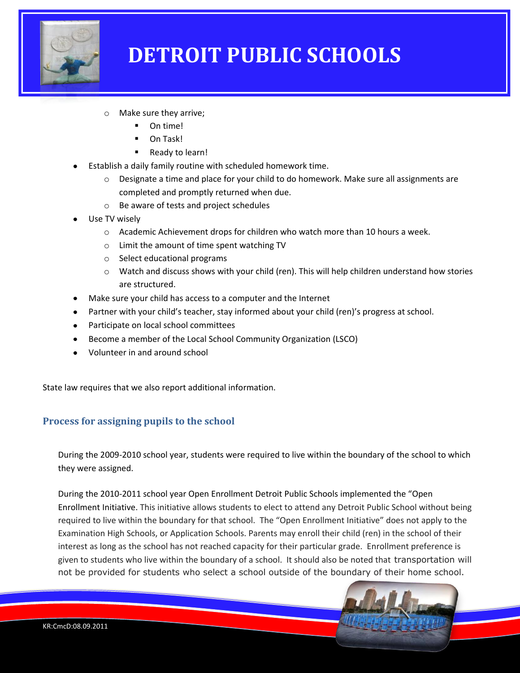

- o Make sure they arrive;
	- On time!
	- On Task!
	- Ready to learn!
- Establish a daily family routine with scheduled homework time.
	- $\circ$  Designate a time and place for your child to do homework. Make sure all assignments are completed and promptly returned when due.
	- o Be aware of tests and project schedules
- Use TV wisely
	- $\circ$  Academic Achievement drops for children who watch more than 10 hours a week.
	- o Limit the amount of time spent watching TV
	- o Select educational programs
	- $\circ$  Watch and discuss shows with your child (ren). This will help children understand how stories are structured.
- Make sure your child has access to a computer and the Internet
- Partner with your child's teacher, stay informed about your child (ren)'s progress at school.
- Participate on local school committees
- Become a member of the Local School Community Organization (LSCO)
- Volunteer in and around school

State law requires that we also report additional information.

#### **Process for assigning pupils to the school**

During the 2009-2010 school year, students were required to live within the boundary of the school to which they were assigned.

During the 2010-2011 school year Open Enrollment Detroit Public Schools implemented the "Open Enrollment Initiative. This initiative allows students to elect to attend any Detroit Public School without being required to live within the boundary for that school. The "Open Enrollment Initiative" does not apply to the Examination High Schools, or Application Schools. Parents may enroll their child (ren) in the school of their interest as long as the school has not reached capacity for their particular grade. Enrollment preference is given to students who live within the boundary of a school. It should also be noted that transportation will not be provided for students who select a school outside of the boundary of their home school.

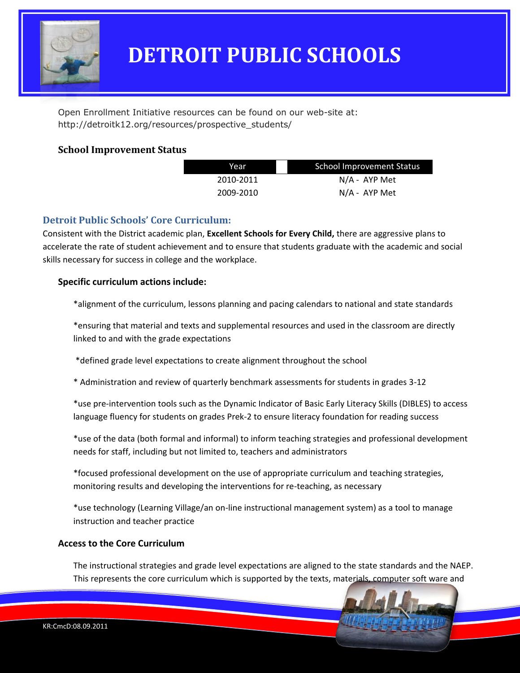

Open Enrollment Initiative resources can be found on our web-site at: http://detroitk12.org/resources/prospective\_students/

#### **School Improvement Status**

| Year      | <b>School Improvement Status</b> |  |
|-----------|----------------------------------|--|
| 2010-2011 | N/A - AYP Met                    |  |
| 2009-2010 | $N/A$ - AYP Met                  |  |

### **Detroit Public Schools' Core Curriculum:**

Consistent with the District academic plan, **Excellent Schools for Every Child,** there are aggressive plans to accelerate the rate of student achievement and to ensure that students graduate with the academic and social skills necessary for success in college and the workplace.

#### **Specific curriculum actions include:**

\*alignment of the curriculum, lessons planning and pacing calendars to national and state standards

\*ensuring that material and texts and supplemental resources and used in the classroom are directly linked to and with the grade expectations

\*defined grade level expectations to create alignment throughout the school

\* Administration and review of quarterly benchmark assessments for students in grades 3-12

\*use pre-intervention tools such as the Dynamic Indicator of Basic Early Literacy Skills (DIBLES) to access language fluency for students on grades Prek-2 to ensure literacy foundation for reading success

\*use of the data (both formal and informal) to inform teaching strategies and professional development needs for staff, including but not limited to, teachers and administrators

\*focused professional development on the use of appropriate curriculum and teaching strategies, monitoring results and developing the interventions for re-teaching, as necessary

\*use technology (Learning Village/an on-line instructional management system) as a tool to manage instruction and teacher practice

#### **Access to the Core Curriculum**

The instructional strategies and grade level expectations are aligned to the state standards and the NAEP. This represents the core curriculum which is supported by the texts, materials, computer soft ware and

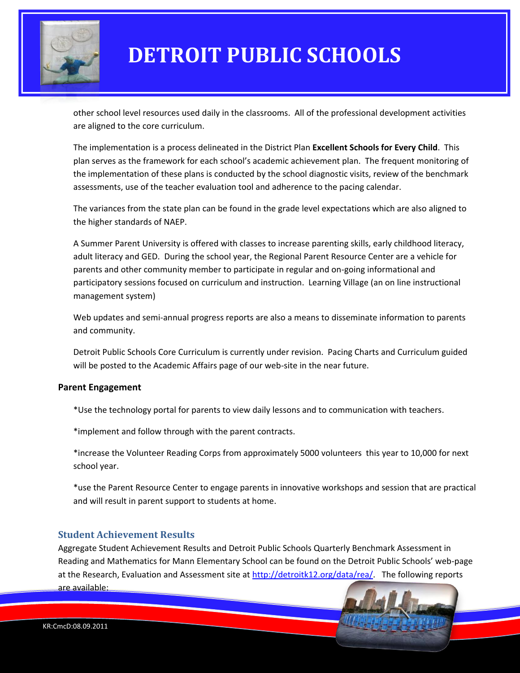

other school level resources used daily in the classrooms. All of the professional development activities are aligned to the core curriculum.

The implementation is a process delineated in the District Plan **Excellent Schools for Every Child**. This plan serves as the framework for each school's academic achievement plan. The frequent monitoring of the implementation of these plans is conducted by the school diagnostic visits, review of the benchmark assessments, use of the teacher evaluation tool and adherence to the pacing calendar.

The variances from the state plan can be found in the grade level expectations which are also aligned to the higher standards of NAEP.

A Summer Parent University is offered with classes to increase parenting skills, early childhood literacy, adult literacy and GED. During the school year, the Regional Parent Resource Center are a vehicle for parents and other community member to participate in regular and on-going informational and participatory sessions focused on curriculum and instruction. Learning Village (an on line instructional management system)

Web updates and semi-annual progress reports are also a means to disseminate information to parents and community.

Detroit Public Schools Core Curriculum is currently under revision. Pacing Charts and Curriculum guided will be posted to the Academic Affairs page of our web-site in the near future.

#### **Parent Engagement**

\*Use the technology portal for parents to view daily lessons and to communication with teachers.

\*implement and follow through with the parent contracts.

\*increase the Volunteer Reading Corps from approximately 5000 volunteers this year to 10,000 for next school year.

\*use the Parent Resource Center to engage parents in innovative workshops and session that are practical and will result in parent support to students at home.

#### **Student Achievement Results**

Aggregate Student Achievement Results and Detroit Public Schools Quarterly Benchmark Assessment in Reading and Mathematics for Mann Elementary School can be found on the Detroit Public Schools' web-page at the Research, Evaluation and Assessment site at [http://detroitk12.org/data/rea/.](http://detroitk12.org/data/rea/) The following reports are available: